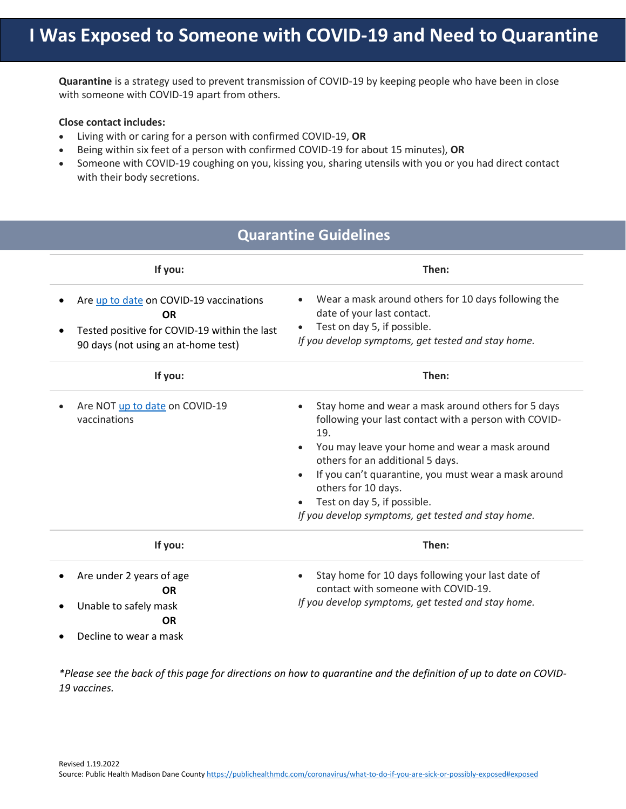**Quarantine** is a strategy used to prevent transmission of COVID-19 by keeping people who have been in close with someone with COVID-19 apart from others.

## **Close contact includes:**

- Living with or caring for a person with confirmed COVID-19, **OR**
- Being within six feet of a person with confirmed COVID-19 for about 15 minutes), **OR**
- Someone with COVID-19 coughing on you, kissing you, sharing utensils with you or you had direct contact with their body secretions.

## **Quarantine Guidelines**

| If you:                                                                                                                                     | Then:                                                                                                                                                                                                                                                                                                                                                                        |
|---------------------------------------------------------------------------------------------------------------------------------------------|------------------------------------------------------------------------------------------------------------------------------------------------------------------------------------------------------------------------------------------------------------------------------------------------------------------------------------------------------------------------------|
| Are up to date on COVID-19 vaccinations<br><b>OR</b><br>Tested positive for COVID-19 within the last<br>90 days (not using an at-home test) | Wear a mask around others for 10 days following the<br>date of your last contact.<br>Test on day 5, if possible.<br>If you develop symptoms, get tested and stay home.                                                                                                                                                                                                       |
| If you:                                                                                                                                     | Then:                                                                                                                                                                                                                                                                                                                                                                        |
| Are NOT up to date on COVID-19<br>vaccinations                                                                                              | Stay home and wear a mask around others for 5 days<br>following your last contact with a person with COVID-<br>19.<br>You may leave your home and wear a mask around<br>others for an additional 5 days.<br>If you can't quarantine, you must wear a mask around<br>others for 10 days.<br>Test on day 5, if possible.<br>If you develop symptoms, get tested and stay home. |
| If you:                                                                                                                                     | Then:                                                                                                                                                                                                                                                                                                                                                                        |
| Are under 2 years of age<br><b>OR</b><br>Unable to safely mask<br><b>OR</b>                                                                 | Stay home for 10 days following your last date of<br>contact with someone with COVID-19.<br>If you develop symptoms, get tested and stay home.                                                                                                                                                                                                                               |

Decline to wear a mask

*\*Please see the back of this page for directions on how to quarantine and the definition of up to date on COVID-19 vaccines.*